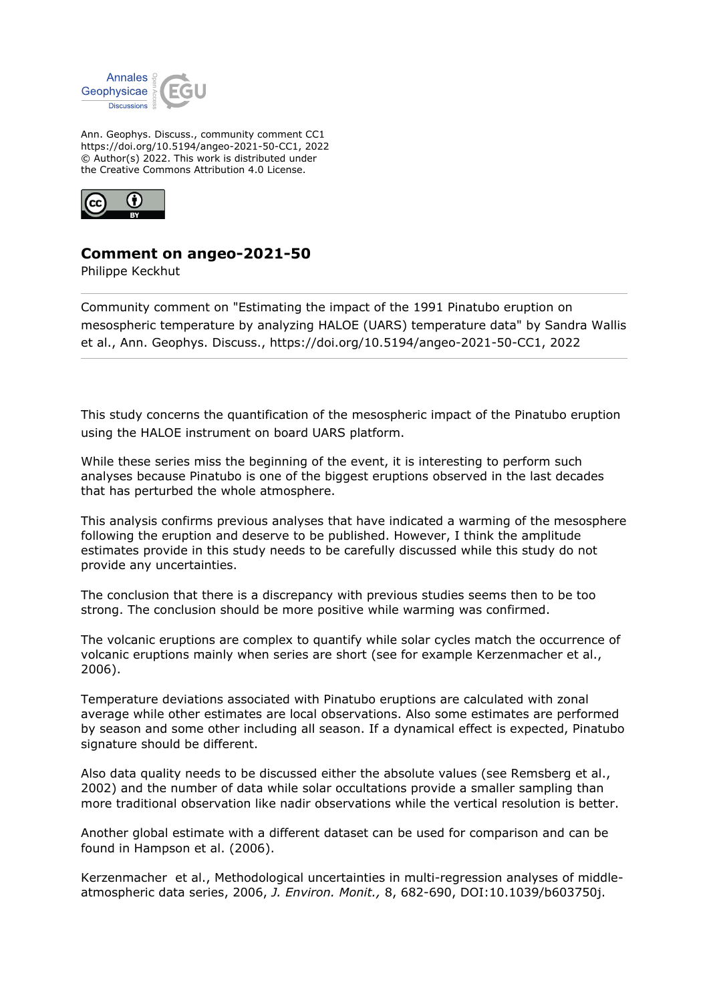

Ann. Geophys. Discuss., community comment CC1 https://doi.org/10.5194/angeo-2021-50-CC1, 2022 © Author(s) 2022. This work is distributed under the Creative Commons Attribution 4.0 License.



## **Comment on angeo-2021-50**

Philippe Keckhut

Community comment on "Estimating the impact of the 1991 Pinatubo eruption on mesospheric temperature by analyzing HALOE (UARS) temperature data" by Sandra Wallis et al., Ann. Geophys. Discuss., https://doi.org/10.5194/angeo-2021-50-CC1, 2022

This study concerns the quantification of the mesospheric impact of the Pinatubo eruption using the HALOE instrument on board UARS platform.

While these series miss the beginning of the event, it is interesting to perform such analyses because Pinatubo is one of the biggest eruptions observed in the last decades that has perturbed the whole atmosphere.

This analysis confirms previous analyses that have indicated a warming of the mesosphere following the eruption and deserve to be published. However, I think the amplitude estimates provide in this study needs to be carefully discussed while this study do not provide any uncertainties.

The conclusion that there is a discrepancy with previous studies seems then to be too strong. The conclusion should be more positive while warming was confirmed.

The volcanic eruptions are complex to quantify while solar cycles match the occurrence of volcanic eruptions mainly when series are short (see for example Kerzenmacher et al., 2006).

Temperature deviations associated with Pinatubo eruptions are calculated with zonal average while other estimates are local observations. Also some estimates are performed by season and some other including all season. If a dynamical effect is expected, Pinatubo signature should be different.

Also data quality needs to be discussed either the absolute values (see Remsberg et al., 2002) and the number of data while solar occultations provide a smaller sampling than more traditional observation like nadir observations while the vertical resolution is better.

Another global estimate with a different dataset can be used for comparison and can be found in Hampson et al. (2006).

Kerzenmacher et al., Methodological uncertainties in multi-regression analyses of middleatmospheric data series, 2006, *J. Environ. Monit.,* 8, 682-690, DOI:10.1039/b603750j.